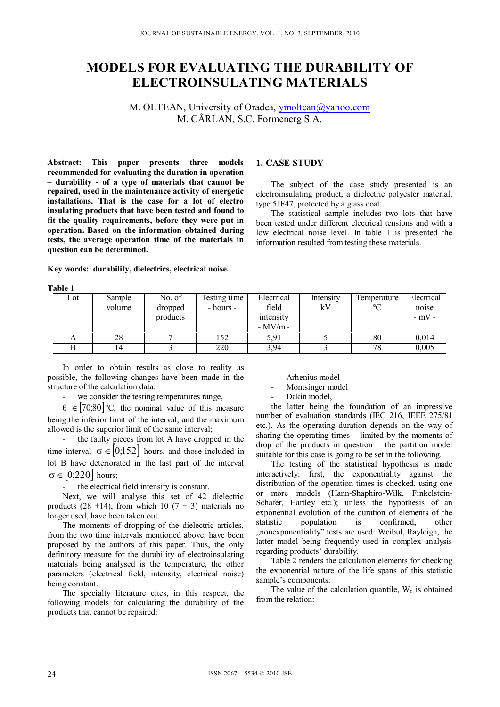# **MODELS FOR EVALUATING THE DURABILITY OF ELECTROINSULATING MATERIALS**

M. OLTEAN, University of Oradea, ymoltean@yahoo.com M. CÂRLAN, S.C. Formenerg S.A.

**1. CASE STUDY** 

type 5JF47, protected by a glass coat.

information resulted from testing these materials.

**Abstract: This paper presents three models recommended for evaluating the duration in operation – durability - of a type of materials that cannot be repaired, used in the maintenance activity of energetic installations. That is the case for a lot of electro insulating products that have been tested and found to fit the quality requirements, before they were put in operation. Based on the information obtained during tests, the average operation time of the materials in question can be determined.** 

**Key words: durability, dielectrics, electrical noise.** 

**Table 1** 

| .   |                  |                               |                           |                                               |                 |                         |                                |
|-----|------------------|-------------------------------|---------------------------|-----------------------------------------------|-----------------|-------------------------|--------------------------------|
| Lot | Sample<br>volume | No. of<br>dropped<br>products | Testing time<br>- hours - | Electrical<br>field<br>intensity<br>$-MV/m$ - | Intensity<br>kV | Temperature<br>$\Gamma$ | Electrical<br>noise<br>$-mV$ - |
|     | 28               |                               | 152                       | 5,91                                          |                 | 80                      | 0.014                          |
|     | 14               |                               | 220                       | 3,94                                          |                 | 78                      | 0,005                          |

In order to obtain results as close to reality as possible, the following changes have been made in the structure of the calculation data:

- we consider the testing temperatures range,

 $\theta \in [70,80]$  °C, the nominal value of this measure being the inferior limit of the interval, and the maximum allowed is the superior limit of the same interval;

the faulty pieces from lot A have dropped in the time interval  $\sigma \in [0,152]$  hours, and those included in lot B have deteriorated in the last part of the interval  $\sigma \in [0;220]$  hours;

- the electrical field intensity is constant.

Next, we will analyse this set of 42 dielectric products  $(28 +14)$ , from which 10  $(7 + 3)$  materials no longer used, have been taken out.

The moments of dropping of the dielectric articles, from the two time intervals mentioned above, have been proposed by the authors of this paper. Thus, the only definitory measure for the durability of electroinsulating materials being analysed is the temperature, the other parameters (electrical field, intensity, electrical noise) being constant.

The specialty literature cites, in this respect, the following models for calculating the durability of the products that cannot be repaired:

- Arhenius model
- Montsinger model
- Dakin model,

the latter being the foundation of an impressive number of evaluation standards (IEC 216, IEEE 275/81 etc.). As the operating duration depends on the way of sharing the operating times – limited by the moments of drop of the products in question – the partition model suitable for this case is going to be set in the following.

The subject of the case study presented is an electroinsulating product, a dielectric polyester material,

The statistical sample includes two lots that have been tested under different electrical tensions and with a low electrical noise level. In table 1 is presented the

The testing of the statistical hypothesis is made interactively: first, the exponentiality against the distribution of the operation times is checked, using one or more models (Hann-Shaphiro-Wilk, Finkelstein-Schafer, Hartley etc.); unless the hypothesis of an exponential evolution of the duration of elements of the statistic population is confirmed, other "nonexponentiality" tests are used: Weibul, Rayleigh, the latter model being frequently used in complex analysis regarding products' durability.

Table 2 renders the calculation elements for checking the exponential nature of the life spans of this statistic sample's components.

The value of the calculation quantile,  $W_0$  is obtained from the relation: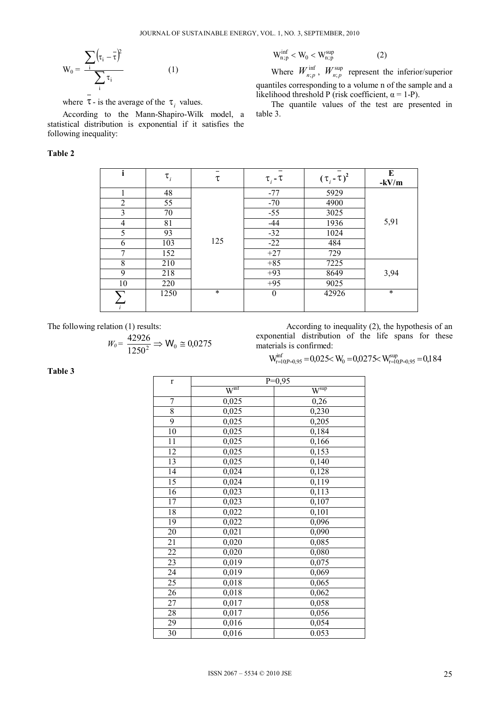$$
W_0 = \frac{\sum_{i} (\tau_i - \bar{\tau})^2}{\sum_{i} \tau_i}
$$
 (1)

where  $\tau$ - is the average of the  $\tau_i$  values.

According to the Mann-Shapiro-Wilk model, a statistical distribution is exponential if it satisfies the following inequality:

# **Table 2**

$$
W_{n;p}^{inf} < W_0 < W_{n;p}^{sup} \tag{2}
$$

Where  $W_{n;p}^{\text{inf}}$ ,  $W_{n;p}^{\text{sup}}$  represent the inferior/superior quantiles corresponding to a volume n of the sample and a likelihood threshold P (risk coefficient,  $\alpha = 1-P$ ).

The quantile values of the test are presented in table 3.

| i              | $\tau_i$ | τ      | $\tau_i$ - $\tau$ | $(\tau_i - \tau)^2$ | E<br>$-kV/m$ |
|----------------|----------|--------|-------------------|---------------------|--------------|
|                | 48       |        | $-77$             | 5929                |              |
| $\mathfrak{D}$ | 55       |        | $-70$             | 4900                |              |
| 3              | 70       |        | $-55$             | 3025                |              |
| 4              | 81       |        | $-44$             | 1936                | 5,91         |
| 5              | 93       |        | $-32$             | 1024                |              |
| 6              | 103      | 125    | $-22$             | 484                 |              |
| $\mathbf{7}$   | 152      |        | $+27$             | 729                 |              |
| 8              | 210      |        | $+85$             | 7225                |              |
| 9              | 218      |        | $+93$             | 8649                | 3,94         |
| 10             | 220      |        | $+95$             | 9025                |              |
|                | 1250     | $\ast$ | $\theta$          | 42926               | $\ast$       |

The following relation (1) results:

$$
W_0 = \frac{42926}{1250^2} \Rightarrow W_0 \cong 0.0275
$$

According to inequality (2), the hypothesis of an exponential distribution of the life spans for these materials is confirmed:

$$
W_{r=l{\scriptstyle 0}}^{inf}P_{=0,95}=0,\!025\!\!< W_{\!0}=0,\!0275\!\!< W_{\!r=l{\scriptstyle 0}}^{\rm sup}P_{=0,95}=0,\!184
$$

**Table 3** 

| $\mathbf r$      |                     | $P=0,95$         |
|------------------|---------------------|------------------|
|                  | $\overline{W}^{mf}$ | $W^{\text{sup}}$ |
| $\boldsymbol{7}$ | 0,025               | 0,26             |
| $\overline{8}$   | 0,025               | 0,230            |
| $\overline{9}$   | 0,025               | 0,205            |
| 10               | 0,025               | 0,184            |
| 11               | 0,025               | 0,166            |
| 12               | 0,025               | 0,153            |
| 13               | 0,025               | 0,140            |
| 14               | 0,024               | 0,128            |
| 15               | 0,024               | 0,119            |
| $\overline{16}$  | 0,023               | 0,113            |
| 17               | 0,023               | 0,107            |
| 18               | 0,022               | 0,101            |
| 19               | 0,022               | 0,096            |
| 20               | 0,021               | 0,090            |
| 21               | 0,020               | 0,085            |
| 22               | 0,020               | 0,080            |
| 23               | 0,019               | 0,075            |
| 24               | 0,019               | 0,069            |
| 25               | 0,018               | 0,065            |
| 26               | 0,018               | 0,062            |
| 27               | 0,017               | 0,058            |
| 28               | 0,017               | 0,056            |
| 29               | 0,016               | 0,054            |
| 30               | 0,016               | 0.053            |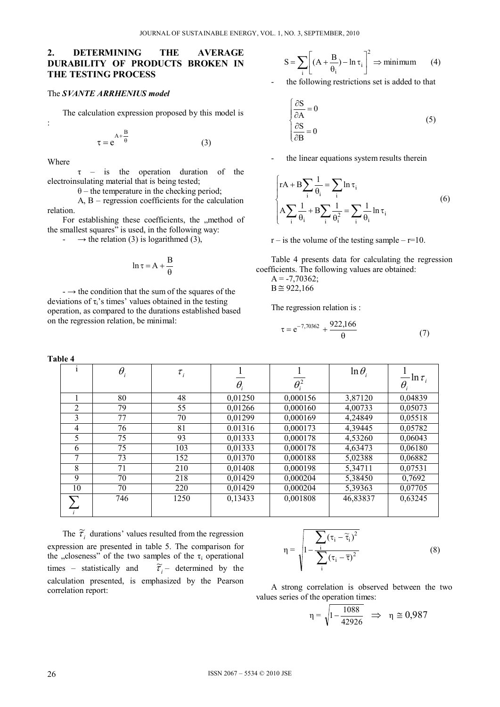# **2. DETERMINING THE AVERAGE DURABILITY OF PRODUCTS BROKEN IN THE TESTING PROCESS**

#### The *SVANTE ARRHENIUS model*

The calculation expression proposed by this model is

$$
\tau = e^{A + \frac{B}{\theta}}
$$
 (3)

Where

:

 τ – is the operation duration of the electroinsulating material that is being tested;

 $\theta$  – the temperature in the checking period;

 A, B – regression coefficients for the calculation relation.

For establishing these coefficients, the "method of the smallest squares" is used, in the following way:

-  $\rightarrow$  the relation (3) is logarithmed (3),

$$
\ln \tau = A + \frac{B}{\theta}
$$

 $\rightarrow$  the condition that the sum of the squares of the deviations of  $\tau_i$ 's times' values obtained in the testing operation, as compared to the durations established based on the regression relation, be minimal:

**Table 4** 

$$
S = \sum_{i} \left[ (A + \frac{B}{\theta_{i}}) - \ln \tau_{i} \right]^{2} \Rightarrow \text{minimum} \tag{4}
$$

the following restrictions set is added to that

$$
\begin{cases}\n\frac{\partial S}{\partial A} = 0\\ \n\frac{\partial S}{\partial B} = 0\n\end{cases}
$$
\n(5)

the linear equations system results therein

$$
\begin{cases} rA + B \sum_{i} \frac{1}{\theta_{i}} = \sum_{i} \ln \tau_{i} \\ A \sum_{i} \frac{1}{\theta_{i}} + B \sum_{i} \frac{1}{\theta_{i}^{2}} = \sum_{i} \frac{1}{\theta_{i}} \ln \tau_{i} \end{cases}
$$
(6)

 $r -$  is the volume of the testing sample –  $r=10$ .

Table 4 presents data for calculating the regression coefficients. The following values are obtained:

 $A = -7,70362;$  $B \cong 922,166$ 

The regression relation is :

$$
\tau = e^{-7,70362} + \frac{922,166}{\theta} \tag{7}
$$

|                | $\theta_i$ | $\tau_{i}$ |          |              | $\ln \theta_i$ | $\frac{1}{\epsilon}$ ln $\tau_i$ |
|----------------|------------|------------|----------|--------------|----------------|----------------------------------|
|                |            |            | $\theta$ | $\theta_i^2$ |                | $\theta_i$                       |
|                | 80         | 48         | 0,01250  | 0,000156     | 3,87120        | 0,04839                          |
| 2              | 79         | 55         | 0,01266  | 0,000160     | 4,00733        | 0,05073                          |
| 3              | 77         | 70         | 0,01299  | 0,000169     | 4,24849        | 0,05518                          |
| $\overline{4}$ | 76         | 81         | 0.01316  | 0,000173     | 4,39445        | 0,05782                          |
| 5              | 75         | 93         | 0,01333  | 0,000178     | 4,53260        | 0,06043                          |
| 6              | 75         | 103        | 0,01333  | 0.000178     | 4,63473        | 0,06180                          |
| 7              | 73         | 152        | 0,01370  | 0,000188     | 5,02388        | 0,06882                          |
| 8              | 71         | 210        | 0,01408  | 0,000198     | 5,34711        | 0,07531                          |
| 9              | 70         | 218        | 0,01429  | 0,000204     | 5,38450        | 0,7692                           |
| 10             | 70         | 220        | 0,01429  | 0,000204     | 5,39363        | 0,07705                          |
|                | 746        | 1250       | 0,13433  | 0,001808     | 46,83837       | 0,63245                          |

The  $\tilde{\tau}_i$  durations' values resulted from the regression expression are presented in table 5. The comparison for the "closeness" of the two samples of the  $\tau_i$  operational times – statistically and  $\widetilde{\tau}_i$  – determined by the calculation presented, is emphasized by the Pearson correlation report:

$$
\eta = \sqrt{1 - \frac{\sum_{i} (\tau_i - \widetilde{\tau}_i)^2}{\sum_{i} (\tau_i - \overline{\tau})^2}}
$$
(8)

A strong correlation is observed between the two values series of the operation times:

$$
\eta = \sqrt{1 - \frac{1088}{42926}} \quad \Rightarrow \quad \eta \cong 0,987
$$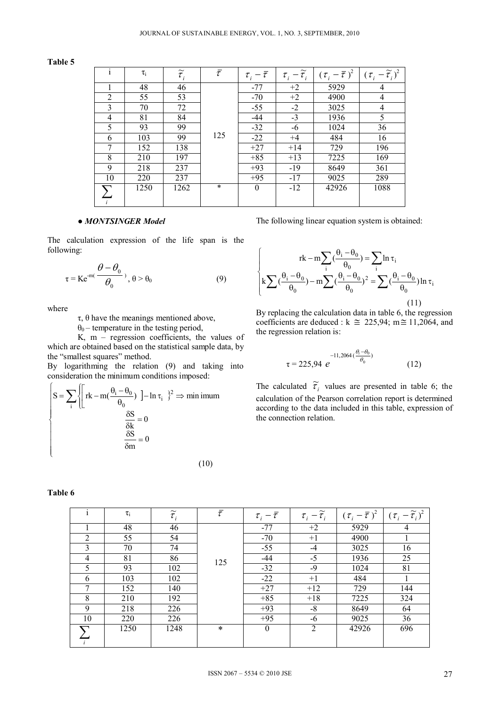#### **Table 5**

| i              | $\tau_i$ | $\widetilde{\tau}_{_i}$ | $\bar{\tau}$ | $\tau_{i} - \overline{\tau}$ | $\tau_i - \widetilde{\tau}_i$ |       | $(\tau_i - \overline{\tau})^2$ $(\tau_i - \widetilde{\tau}_i)^2$ |
|----------------|----------|-------------------------|--------------|------------------------------|-------------------------------|-------|------------------------------------------------------------------|
|                | 48       | 46                      |              | $-77$                        | $+2$                          | 5929  | 4                                                                |
| $\overline{2}$ | 55       | 53                      |              | $-70$                        | $+2$                          | 4900  | 4                                                                |
| 3              | 70       | 72                      |              | $-55$                        | $-2$                          | 3025  | 4                                                                |
| 4              | 81       | 84                      |              | $-44$                        | $-3$                          | 1936  | 5                                                                |
| 5              | 93       | 99                      |              | $-32$                        | -6                            | 1024  | 36                                                               |
| 6              | 103      | 99                      | 125          | $-22$                        | $+4$                          | 484   | 16                                                               |
| 7              | 152      | 138                     |              | $+27$                        | $+14$                         | 729   | 196                                                              |
| 8              | 210      | 197                     |              | $+85$                        | $+13$                         | 7225  | 169                                                              |
| 9              | 218      | 237                     |              | $+93$                        | $-19$                         | 8649  | 361                                                              |
| 10             | 220      | 237                     |              | $+95$                        | $-17$                         | 9025  | 289                                                              |
|                | 1250     | 1262                    | $\ast$       | $\theta$                     | $-12$                         | 42926 | 1088                                                             |
|                |          |                         |              |                              |                               |       |                                                                  |

#### *● MONTSINGER Model*

The calculation expression of the life span is the following:

$$
\tau = Ke^{-m(\frac{\theta - \theta_0}{\theta_0})}, \theta > \theta_0
$$
 (9)

where

τ, θ have the meanings mentioned above,

 $\theta_0$  – temperature in the testing period,

 K, m – regression coefficients, the values of which are obtained based on the statistical sample data, by the "smallest squares" method.

By logarithming the relation (9) and taking into consideration the minimum conditions imposed:

$$
\begin{cases}\n\mathbf{S} = \sum_{i} \left\{ \left[ \mathbf{r} \mathbf{k} - \mathbf{m} \left( \frac{\theta_{i} - \theta_{0}}{\theta_{0}} \right) \right] - \ln \tau_{i} \right\}^{2} \Rightarrow \text{min imum} \\
\frac{\delta \mathbf{S}}{\delta \mathbf{k}} = 0 \\
\frac{\delta \mathbf{S}}{\delta \mathbf{m}} = 0\n\end{cases}
$$
\n(10)

#### $\mathbf{I}$  $\downarrow$  $\mathfrak{r}$  $\Big\}$  $\left\{ \right.$  $\frac{1}{2}$  $\frac{\theta_i - \theta_0}{\theta_0}$  - m  $\sum$   $(\frac{\theta_i - \theta_0}{\theta_0})^2$  =  $\sum$   $(\frac{\theta_i - \theta_0}{\theta_0})$  ln  $\tau$  $-m\sum_{i}(\frac{\theta_{i}-\theta_{0}}{\theta_{0}})=\sum_{i}\ln \tau$  $\sum_{i}(\frac{\sigma_i-\sigma_0}{\theta_0})-m\sum_{i}(\frac{\sigma_i-\sigma_0}{\theta_0})^2=\sum_{i}$  $\sum (\frac{\sigma_i - \sigma_0}{\theta_0}) = \sum$  $\overline{\mathbf{e}_0}$ ) in  $\mathbf{e}_i$  $^{2}-\sum$   $^{0}$ i<sup>-0</sup>0  $\boldsymbol{0}$  $i - o_0$  $\boldsymbol{0}$  $i - 0$  $i \rightarrow 0$  $\frac{1}{0}$  –  $\frac{1}{i}$  ii  $\frac{1}{i}$  $i - o_0$  $\left(\frac{v_1-v_0}{2}\right)-m\sum_{n=0}^{\infty}\left(\frac{v_1-v_0}{2}\right)^2=\sum_{n=0}^{\infty}\left(\frac{v_1-v_0}{2}\right)\ln$  $\ln \ln \left( \frac{S_1 - S_0}{S_1} \right) = \sum \ln \ln \left( \frac{S_1 - S_0}{S_1} \right)$

The following linear equation system is obtained:

(11)

By replacing the calculation data in table 6, the regression coefficients are deduced :  $k \approx 225,94$ ; m $\approx 11,2064$ , and the regression relation is:

$$
\tau = 225,94 \ e^{-11,2064 \left(\frac{\theta_i - \theta_0}{\theta_0}\right)} \tag{12}
$$

The calculated  $\tilde{\tau}_i$  values are presented in table 6; the calculation of the Pearson correlation report is determined according to the data included in this table, expression of the connection relation.

|                | $\tau_i$ | $\widetilde{\tau}_{i}$ | $\bar{\tau}$ | $\tau_{i}-\tau$ | $-\widetilde{\tau}_{i}$<br>$\tau_{\scriptscriptstyle i}$ | $(\tau_i - \overline{\tau})^2$ | $(\tau_i - \widetilde{\tau}_i)^2$ |
|----------------|----------|------------------------|--------------|-----------------|----------------------------------------------------------|--------------------------------|-----------------------------------|
|                | 48       | 46                     |              | $-77$           | $+2$                                                     | 5929                           | 4                                 |
| $\overline{2}$ | 55       | 54                     |              | $-70$           | $+1$                                                     | 4900                           |                                   |
| 3              | 70       | 74                     |              | $-55$           | $-4$                                                     | 3025                           | 16                                |
| $\overline{4}$ | 81       | 86                     | 125          | $-44$           | $-5$                                                     | 1936                           | 25                                |
| 5              | 93       | 102                    |              | $-32$           | $-9$                                                     | 1024                           | 81                                |
| 6              | 103      | 102                    |              | $-22$           | $+1$                                                     | 484                            |                                   |
| 7              | 152      | 140                    |              | $+27$           | $+12$                                                    | 729                            | 144                               |
| 8              | 210      | 192                    |              | $+85$           | $+18$                                                    | 7225                           | 324                               |
| 9              | 218      | 226                    |              | $+93$           | $-8$                                                     | 8649                           | 64                                |
| 10             | 220      | 226                    |              | $+95$           | -6                                                       | 9025                           | 36                                |
|                | 1250     | 1248                   | $\ast$       | $\theta$        | 2                                                        | 42926                          | 696                               |
|                |          |                        |              |                 |                                                          |                                |                                   |

# **Table 6**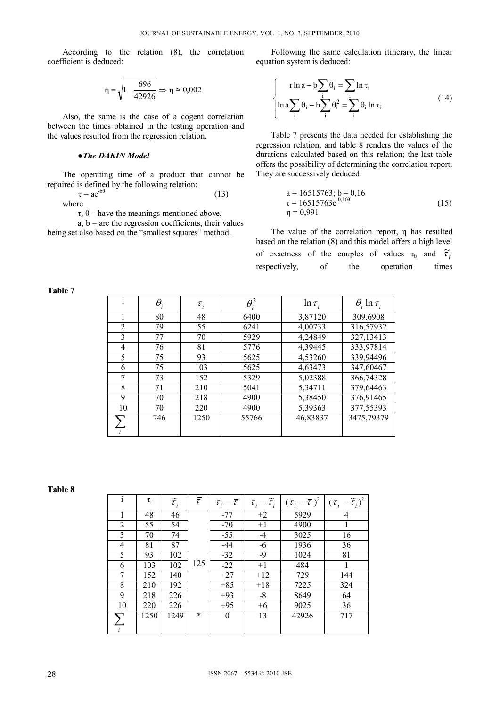According to the relation (8), the correlation coefficient is deduced:

$$
\eta = \sqrt{1 - \frac{696}{42926}} \Rightarrow \eta \equiv 0,002
$$

Also, the same is the case of a cogent correlation between the times obtained in the testing operation and the values resulted from the regression relation.

## *●The DAKIN Model*

The operating time of a product that cannot be repaired is defined by the following relation:

$$
\tau = ae^{-b\theta} \tag{13}
$$
 where

τ, θ – have the meanings mentioned above,

 $a, b - are the regression coefficients, their values$ being set also based on the "smallest squares" method.

Following the same calculation itinerary, the linear equation system is deduced:

$$
\begin{cases}\n\ln a - b \sum_{i} \theta_{i} = \sum_{i} \ln \tau_{i} \\
\ln a \sum_{i} \theta_{i} - b \sum_{i} \theta_{i}^{2} = \sum_{i} \theta_{i} \ln \tau_{i}\n\end{cases}
$$
\n(14)

Table 7 presents the data needed for establishing the regression relation, and table 8 renders the values of the durations calculated based on this relation; the last table offers the possibility of determining the correlation report. They are successively deduced:

$$
a = 16515763; b = 0,16\n\tau = 16515763e^{-0,160}
$$
\n
$$
\eta = 0,991
$$
\n(15)

The value of the correlation report, η has resulted based on the relation (8) and this model offers a high level of exactness of the couples of values  $\tau_i$ , and  $\tilde{\tau}_i$ respectively, of the operation times

# **Table 7**

| $\mathbf{1}$   | $\theta_{\scriptscriptstyle i}$ | $\tau_i$ | $\theta_i^2$ | $\ln \tau_i$ | $\theta_i \ln \tau_i$ |
|----------------|---------------------------------|----------|--------------|--------------|-----------------------|
|                | 80                              | 48       | 6400         | 3,87120      | 309,6908              |
| $\overline{2}$ | 79                              | 55       | 6241         | 4,00733      | 316,57932             |
| 3              | 77                              | 70       | 5929         | 4,24849      | 327,13413             |
| 4              | 76                              | 81       | 5776         | 4,39445      | 333,97814             |
| 5              | 75                              | 93       | 5625         | 4,53260      | 339,94496             |
| 6              | 75                              | 103      | 5625         | 4,63473      | 347,60467             |
| 7              | 73                              | 152      | 5329         | 5,02388      | 366,74328             |
| 8              | 71                              | 210      | 5041         | 5,34711      | 379,64463             |
| 9              | 70                              | 218      | 4900         | 5,38450      | 376,91465             |
| 10             | 70                              | 220      | 4900         | 5,39363      | 377,55393             |
|                | 746                             | 1250     | 55766        | 46,83837     | 3475,79379            |
|                |                                 |          |              |              |                       |

**Table 8** 

| $\mathbf{i}$   | $\tau_i$ | $\widetilde{\tau}_{_i}$ | $\bar{\tau}$ | $\tau_{i} - \overline{\tau}$ | $\tau_i - \widetilde{\tau}_i$ | $(\tau_i - \overline{\tau})^2$ | $(\tau_i - \widetilde{\tau}_i)^2$ |
|----------------|----------|-------------------------|--------------|------------------------------|-------------------------------|--------------------------------|-----------------------------------|
| 1              | 48       | 46                      |              | $-77$                        | $+2$                          | 5929                           | $\overline{4}$                    |
| $\overline{2}$ | 55       | 54                      |              | $-70$                        | $+1$                          | 4900                           |                                   |
| 3              | 70       | 74                      |              | $-55$                        | $-4$                          | 3025                           | 16                                |
| 4              | 81       | 87                      |              | $-44$                        | -6                            | 1936                           | 36                                |
| 5              | 93       | 102                     |              | $-32$                        | $-9$                          | 1024                           | 81                                |
| 6              | 103      | 102                     | 125          | $-22$                        | $+1$                          | 484                            | 1                                 |
| 7              | 152      | 140                     |              | $+27$                        | $+12$                         | 729                            | 144                               |
| 8              | 210      | 192                     |              | $+85$                        | $+18$                         | 7225                           | 324                               |
| 9              | 218      | 226                     |              | $+93$                        | $-8$                          | 8649                           | 64                                |
| 10             | 220      | 226                     |              | $+95$                        | $+6$                          | 9025                           | 36                                |
| $\sum$         | 1250     | 1249                    | $\ast$       | $\boldsymbol{0}$             | 13                            | 42926                          | 717                               |
| $\mathbf{i}$   |          |                         |              |                              |                               |                                |                                   |